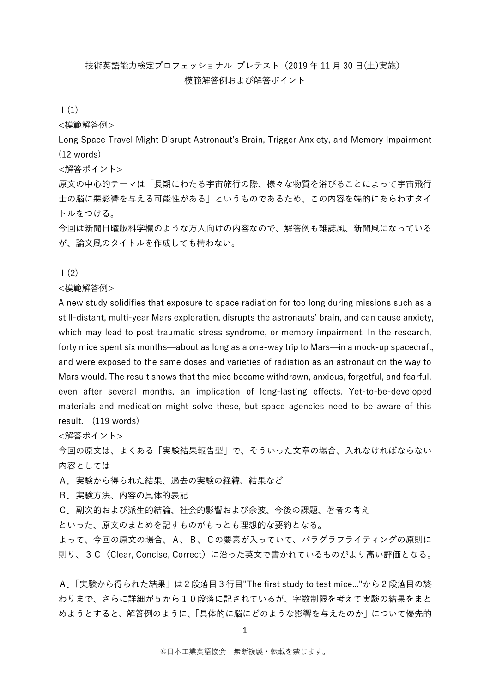# 技術英語能力検定プロフェッショナル プレテスト(2019 年 11 月 30 日(土)実施) 模範解答例および解答ポイント

### $(1)$

<模範解答例>

Long Space Travel Might Disrupt Astronaut's Brain, Trigger Anxiety, and Memory Impairment (12 words)

<解答ポイント>

原文の中心的テーマは「長期にわたる宇宙旅行の際、様々な物質を浴びることによって宇宙飛行 士の脳に悪影響を与える可能性がある」というものであるため、この内容を端的にあらわすタイ トルをつける。

今回は新聞日曜版科学欄のような万人向けの内容なので、解答例も雑誌風、新聞風になっている が、論文風のタイトルを作成しても構わない。

 $(2)$ 

<模範解答例>

A new study solidifies that exposure to space radiation for too long during missions such as a still-distant, multi-year Mars exploration, disrupts the astronauts' brain, and can cause anxiety, which may lead to post traumatic stress syndrome, or memory impairment. In the research, forty mice spent six months—about as long as a one-way trip to Mars—in a mock-up spacecraft, and were exposed to the same doses and varieties of radiation as an astronaut on the way to Mars would. The result shows that the mice became withdrawn, anxious, forgetful, and fearful, even after several months, an implication of long-lasting effects. Yet-to-be-developed materials and medication might solve these, but space agencies need to be aware of this result. (119 words)

<解答ポイント>

今回の原文は、よくある「実験結果報告型」で、そういった文章の場合、入れなければならない 内容としては

A.実験から得られた結果、過去の実験の経緯、結果など

B.実験方法、内容の具体的表記

C.副次的および派生的結論、社会的影響および余波、今後の課題、著者の考え

といった、原文のまとめを記すものがもっとも理想的な要約となる。

よって、今回の原文の場合、A、B、Cの要素が入っていて、パラグラフライティングの原則に 則り、3C(Clear, Concise, Correct)に沿った英文で書かれているものがより高い評価となる。

A.「実験から得られた結果」は2段落目3行目"The first study to test mice..."から2段落目の終 わりまで、さらに詳細が5から10段落に記されているが、字数制限を考えて実験の結果をまと めようとすると、解答例のように、「具体的に脳にどのような影響を与えたのか」について優先的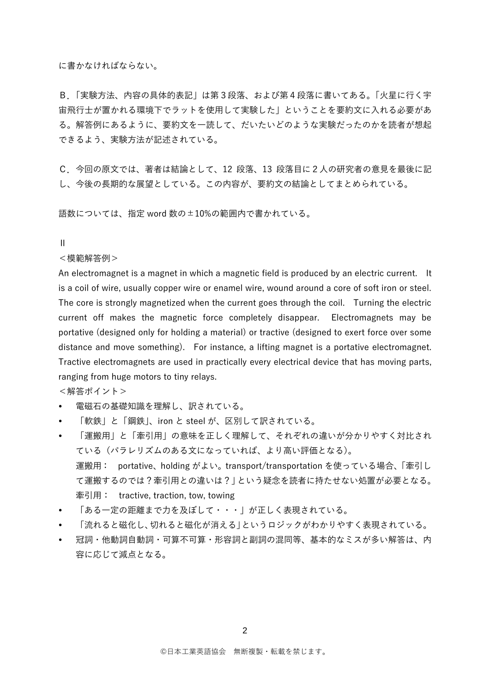に書かなければならない。

B.「実験方法、内容の具体的表記」は第3段落、および第4段落に書いてある。「火星に行く宇 宙飛行士が置かれる環境下でラットを使用して実験した」ということを要約文に入れる必要があ る。解答例にあるように、要約文を一読して、だいたいどのような実験だったのかを読者が想起 できるよう、実験方法が記述されている。

C.今回の原文では、著者は結論として、12 段落、13 段落目に2人の研究者の意見を最後に記 し、今後の長期的な展望としている。この内容が、要約文の結論としてまとめられている。

語数については、指定 word 数の±10%の範囲内で書かれている。

Ⅱ

<模範解答例>

An electromagnet is a magnet in which a magnetic field is produced by an electric current. It is a coil of wire, usually copper wire or enamel wire, wound around a core of soft iron or steel. The core is strongly magnetized when the current goes through the coil. Turning the electric current off makes the magnetic force completely disappear. Electromagnets may be portative (designed only for holding a material) or tractive (designed to exert force over some distance and move something). For instance, a lifting magnet is a portative electromagnet. Tractive electromagnets are used in practically every electrical device that has moving parts, ranging from huge motors to tiny relays.

<解答ポイント>

- 電磁石の基礎知識を理解し、訳されている。
- 「軟鉄」と「鋼鉄」、iron と steel が、区別して訳されている。
- 「運搬用」と「牽引用」の意味を正しく理解して、それぞれの違いが分かりやすく対比され ている(パラレリズムのある文になっていれば、より高い評価となる)。 運搬用: portative、holding がよい。transport/transportation を使っている場合、「牽引し て運搬するのでは?牽引用との違いは?」という疑念を読者に持たせない処置が必要となる。 牽引用: tractive, traction, tow, towing
- 「ある一定の距離まで力を及ぼして・・・」が正しく表現されている。
- 「流れると磁化し、切れると磁化が消える」というロジックがわかりやすく表現されている。
- 冠詞・他動詞自動詞・可算不可算・形容詞と副詞の混同等、基本的なミスが多い解答は、内 容に応じて減点となる。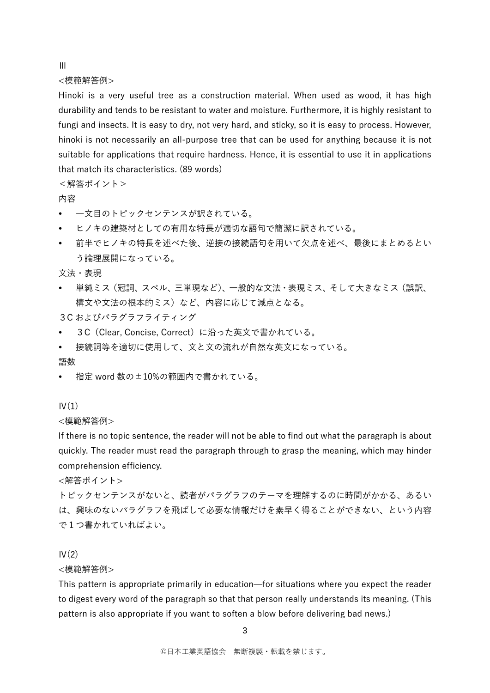Ⅲ

<模範解答例>

Hinoki is a very useful tree as a construction material. When used as wood, it has high durability and tends to be resistant to water and moisture. Furthermore, it is highly resistant to fungi and insects. It is easy to dry, not very hard, and sticky, so it is easy to process. However, hinoki is not necessarily an all-purpose tree that can be used for anything because it is not suitable for applications that require hardness. Hence, it is essential to use it in applications that match its characteristics. (89 words)

<解答ポイント>

# 内容

- 一文目のトピックセンテンスが訳されている。
- ヒノキの建築材としての有用な特長が適切な語句で簡潔に訳されている。
- 前半でヒノキの特長を述べた後、逆接の接続語句を用いて欠点を述べ、最後にまとめるとい う論理展開になっている。

文法・表現

- 単純ミス(冠詞、スペル、三単現など)、一般的な文法・表現ミス、そして大きなミス(誤訳、 構文や文法の根本的ミス)など、内容に応じて減点となる。
- 3C およびパラグラフライティング
- 3C (Clear, Concise, Correct)に沿った英文で書かれている。
- 接続詞等を適切に使用して、文と文の流れが自然な英文になっている。

語数

指定 word 数の±10%の範囲内で書かれている。

#### $IV(1)$

<模範解答例>

If there is no topic sentence, the reader will not be able to find out what the paragraph is about quickly. The reader must read the paragraph through to grasp the meaning, which may hinder comprehension efficiency.

<解答ポイント>

トピックセンテンスがないと、読者がパラグラフのテーマを理解するのに時間がかかる、あるい は、興味のないパラグラフを飛ばして必要な情報だけを素早く得ることができない、という内容 で1つ書かれていればよい。

#### $IV(2)$

<模範解答例>

This pattern is appropriate primarily in education—for situations where you expect the reader to digest every word of the paragraph so that that person really understands its meaning. (This pattern is also appropriate if you want to soften a blow before delivering bad news.)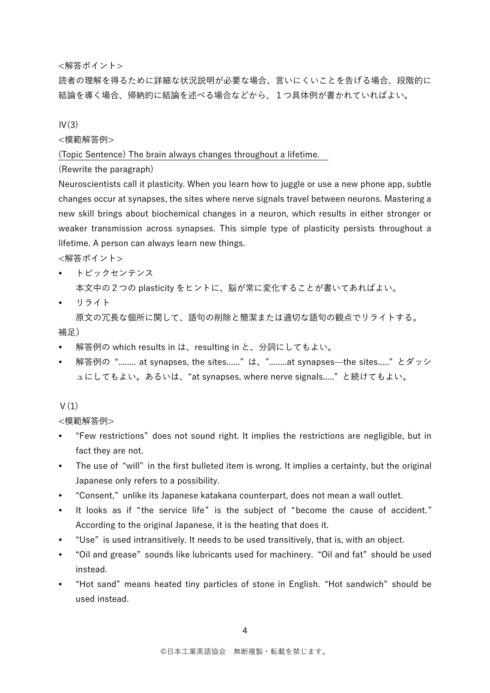<解答ポイント>

読者の理解を得るために詳細な状況説明が必要な場合、言いにくいことを告げる場合、段階的に 結論を導く場合、帰納的に結論を述べる場合などから、1つ具体例が書かれていればよい。

 $IV(3)$ 

<模範解答例>

(Topic Sentence) The brain always changes throughout a lifetime.

(Rewrite the paragraph)

Neuroscientists call it plasticity. When you learn how to juggle or use a new phone app, subtle changes occur at synapses, the sites where nerve signals travel between neurons. Mastering a new skill brings about biochemical changes in a neuron, which results in either stronger or weaker transmission across synapses. This simple type of plasticity persists throughout a lifetime. A person can always learn new things.

<解答ポイント>

- トピックセンテンス 本文中の2つの plasticity をヒントに、脳が常に変化することが書いてあればよい。
- リライト

原文の冗長な個所に関して、語句の削除と簡潔または適切な語句の観点でリライトする。

補足)

- 解答例の which results in は、resulting in と、分詞にしてもよい。
- 解答例の"........ at synapses, the sites......"は、"........at synapses—the sites....."とダッシ ュにしてもよい。あるいは、"at synapses, where nerve signals....." と続けてもよい。

# $V(1)$

<模範解答例>

- "Few restrictions" does not sound right. It implies the restrictions are negligible, but in fact they are not.
- The use of "will" in the first bulleted item is wrong. It implies a certainty, but the original Japanese only refers to a possibility.
- "Consent," unlike its Japanese katakana counterpart, does not mean a wall outlet.
- It looks as if "the service life" is the subject of "become the cause of accident." According to the original Japanese, it is the heating that does it.
- "Use" is used intransitively. It needs to be used transitively, that is, with an object.
- "Oil and grease" sounds like lubricants used for machinery. "Oil and fat" should be used instead.
- "Hot sand" means heated tiny particles of stone in English. "Hot sandwich" should be used instead.